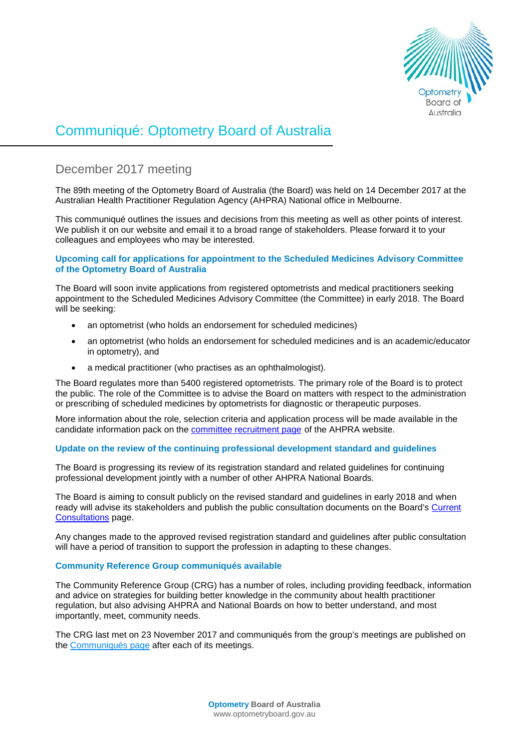

# Communiqué: Optometry Board of Australia

# December 2017 meeting

The 89th meeting of the Optometry Board of Australia (the Board) was held on 14 December 2017 at the Australian Health Practitioner Regulation Agency (AHPRA) National office in Melbourne.

This communiqué outlines the issues and decisions from this meeting as well as other points of interest. We publish it on our website and email it to a broad range of stakeholders. Please forward it to your colleagues and employees who may be interested.

## **Upcoming call for applications for appointment to the Scheduled Medicines Advisory Committee of the Optometry Board of Australia**

The Board will soon invite applications from registered optometrists and medical practitioners seeking appointment to the Scheduled Medicines Advisory Committee (the Committee) in early 2018. The Board will be seeking:

- an optometrist (who holds an endorsement for scheduled medicines)
- an optometrist (who holds an endorsement for scheduled medicines and is an academic/educator in optometry), and
- a medical practitioner (who practises as an ophthalmologist).

The Board regulates more than 5400 registered optometrists. The primary role of the Board is to protect the public. The role of the Committee is to advise the Board on matters with respect to the administration or prescribing of scheduled medicines by optometrists for diagnostic or therapeutic purposes.

More information about the role, selection criteria and application process will be made available in the candidate information pack on the [committee recruitment page](http://www.ahpra.gov.au/National-Boards/National-Boards-recruitment/Committee-member-recruitment.aspx) of the AHPRA website.

# **Update on the review of the continuing professional development standard and guidelines**

The Board is progressing its review of its registration standard and related guidelines for continuing professional development jointly with a number of other AHPRA National Boards.

The Board is aiming to consult publicly on the revised standard and guidelines in early 2018 and when ready will advise its stakeholders and publish the public consultation documents on the Board's Current [Consultations](http://www.optometryboard.gov.au/News/Current-Consultations.aspx) page.

Any changes made to the approved revised registration standard and guidelines after public consultation will have a period of transition to support the profession in adapting to these changes.

## **Community Reference Group communiqués available**

The Community Reference Group (CRG) has a number of roles, including providing feedback, information and advice on strategies for building better knowledge in the community about health practitioner regulation, but also advising AHPRA and National Boards on how to better understand, and most importantly, meet, community needs.

The CRG last met on 23 November 2017 and communiqués from the group's meetings are published on the [Communiqués page](http://www.ahpra.gov.au/About-AHPRA/Advisory-groups/Community-Reference-Group/Communiques.aspx) after each of its meetings.